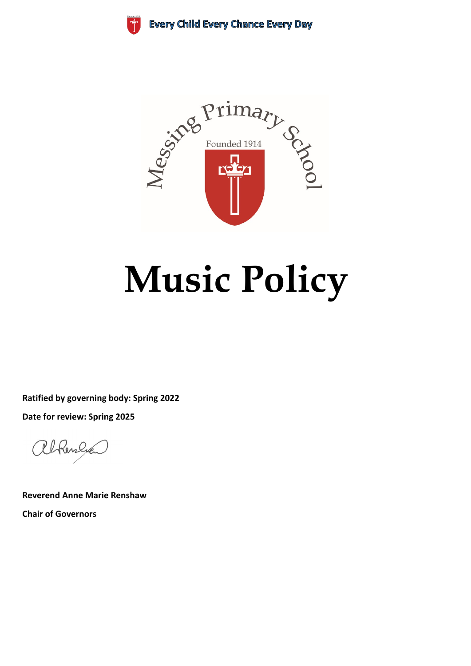**Every Child Every Chance Every Day** 



# **Music Policy**

**Ratified by governing body: Spring 2022 Date for review: Spring 2025**

alkenlyen

**Reverend Anne Marie Renshaw Chair of Governors**